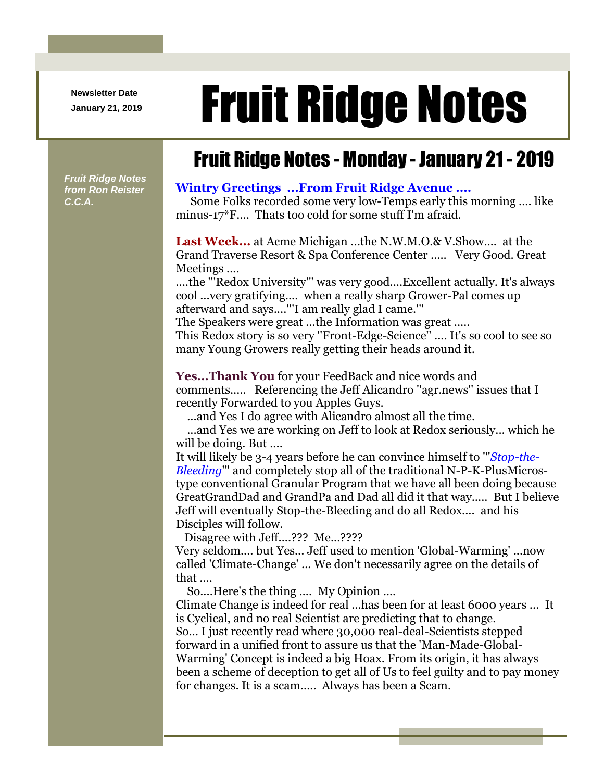**Newsletter Date**

## Newsletter Date **Fruit Ridge Notes**

## Fruit Ridge Notes - Monday - January 21 - 2019

*Fruit Ridge Notes from Ron Reister C.C.A.*

## **Wintry Greetings ...From Fruit Ridge Avenue ....**

Some Folks recorded some very low-Temps early this morning .... like minus-17\*F.... Thats too cold for some stuff I'm afraid.

**Last Week...** at Acme Michigan ...the N.W.M.O.& V.Show.... at the Grand Traverse Resort & Spa Conference Center ..... Very Good. Great Meetings ....

....the '''Redox University''' was very good....Excellent actually. It's always cool ...very gratifying.... when a really sharp Grower-Pal comes up afterward and says....'''I am really glad I came.'''

The Speakers were great ...the Information was great ..... This Redox story is so very ''Front-Edge-Science'' .... It's so cool to see so many Young Growers really getting their heads around it.

**Yes...Thank You** for your FeedBack and nice words and comments..... Referencing the Jeff Alicandro ''agr.news'' issues that I recently Forwarded to you Apples Guys.

...and Yes I do agree with Alicandro almost all the time.

...and Yes we are working on Jeff to look at Redox seriously... which he will be doing. But ....

It will likely be 3-4 years before he can convince himself to '''*Stop-the-Bleeding*''' and completely stop all of the traditional N-P-K-PlusMicrostype conventional Granular Program that we have all been doing because GreatGrandDad and GrandPa and Dad all did it that way..... But I believe Jeff will eventually Stop-the-Bleeding and do all Redox.... and his Disciples will follow.

Disagree with Jeff....??? Me...????

Very seldom.... but Yes... Jeff used to mention 'Global-Warming' ...now called 'Climate-Change' ... We don't necessarily agree on the details of that ....

So....Here's the thing .... My Opinion ....

Climate Change is indeed for real ...has been for at least 6000 years ... It is Cyclical, and no real Scientist are predicting that to change. So... I just recently read where 30,000 real-deal-Scientists stepped forward in a unified front to assure us that the 'Man-Made-Global-Warming' Concept is indeed a big Hoax. From its origin, it has always been a scheme of deception to get all of Us to feel guilty and to pay money for changes. It is a scam..... Always has been a Scam.